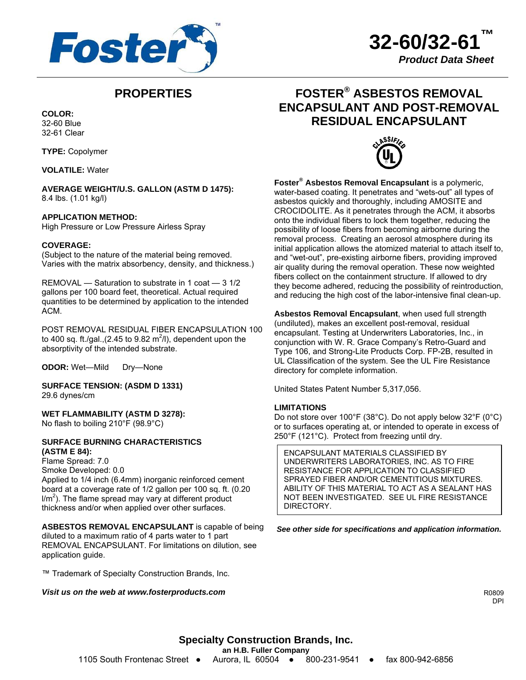

**32-60/32-61™** *Product Data Sheet*

# **PROPERTIES**

**COLOR:**  32-60 Blue 32-61 Clear

**TYPE:** Copolymer

**VOLATILE:** Water

**AVERAGE WEIGHT/U.S. GALLON (ASTM D 1475):**  8.4 lbs. (1.01 kg/l)

# **APPLICATION METHOD:**

High Pressure or Low Pressure Airless Spray

# **COVERAGE:**

(Subject to the nature of the material being removed. Varies with the matrix absorbency, density, and thickness.)

REMOVAL — Saturation to substrate in 1 coat — 3 1/2 gallons per 100 board feet, theoretical. Actual required quantities to be determined by application to the intended ACM.

POST REMOVAL RESIDUAL FIBER ENCAPSULATION 100 to 400 sq. ft./gal.,(2.45 to 9.82 m<sup>2</sup>/l), dependent upon the absorptivity of the intended substrate.

**ODOR:** Wet—Mild Dry—None

**SURFACE TENSION: (ASDM D 1331)**  29.6 dynes/cm

**WET FLAMMABILITY (ASTM D 3278):**  No flash to boiling 210°F (98.9°C)

# **SURFACE BURNING CHARACTERISTICS (ASTM E 84):**

Flame Spread: 7.0 Smoke Developed: 0.0 Applied to 1/4 inch (6.4mm) inorganic reinforced cement board at a coverage rate of 1/2 gallon per 100 sq. ft. (0.20  $I/m<sup>2</sup>$ ). The flame spread may vary at different product thickness and/or when applied over other surfaces.

**ASBESTOS REMOVAL ENCAPSULANT** is capable of being diluted to a maximum ratio of 4 parts water to 1 part REMOVAL ENCAPSULANT. For limitations on dilution, see application guide.

™ Trademark of Specialty Construction Brands, Inc.

### *Visit us on the web at www.fosterproducts.com*





**Foster® Asbestos Removal Encapsulant** is a polymeric, water-based coating. It penetrates and "wets-out" all types of asbestos quickly and thoroughly, including AMOSITE and CROCIDOLITE. As it penetrates through the ACM, it absorbs onto the individual fibers to lock them together, reducing the possibility of loose fibers from becoming airborne during the removal process. Creating an aerosol atmosphere during its initial application allows the atomized material to attach itself to, and "wet-out", pre-existing airborne fibers, providing improved air quality during the removal operation. These now weighted fibers collect on the containment structure. If allowed to dry they become adhered, reducing the possibility of reintroduction, and reducing the high cost of the labor-intensive final clean-up.

**Asbestos Removal Encapsulant**, when used full strength (undiluted), makes an excellent post-removal, residual encapsulant. Testing at Underwriters Laboratories, Inc., in conjunction with W. R. Grace Company's Retro-Guard and Type 106, and Strong-Lite Products Corp. FP-2B, resulted in UL Classification of the system. See the UL Fire Resistance directory for complete information.

United States Patent Number 5,317,056.

#### **LIMITATIONS**

Do not store over 100°F (38°C). Do not apply below 32°F (0°C) or to surfaces operating at, or intended to operate in excess of 250°F (121°C). Protect from freezing until dry.

ENCAPSULANT MATERIALS CLASSIFIED BY UNDERWRITERS LABORATORIES, INC. AS TO FIRE RESISTANCE FOR APPLICATION TO CLASSIFIED SPRAYED FIBER AND/OR CEMENTITIOUS MIXTURES. ABILITY OF THIS MATERIAL TO ACT AS A SEALANT HAS NOT BEEN INVESTIGATED. SEE UL FIRE RESISTANCE DIRECTORY.

*See other side for specifications and application information.*